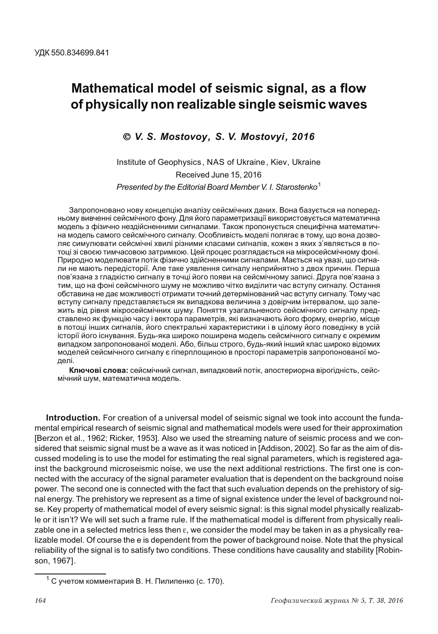# Mathematical model of seismic signal, as a flow of physically non realizable single seismic waves

### © V. S. Mostovoy, S. V. Mostovyi, 2016

Institute of Geophysics, NAS of Ukraine, Kiev, Ukraine Received June 15, 2016 Presented by the Editorial Board Member V. I. Starostenko<sup>1</sup>

Запропоновано нову концепцію аналізу сейсмічних даних. Вона базується на попередньому вивченні сейсмічного фону. Для його параметризації використовується математична модель з фізично нездійсненними сигналами. Також пропонується специфічна математична модель самого сейсмічного сигналу. Особливість моделі полягає в тому, що вона дозволяє симулювати сейсмічні хвилі різними класами сигналів, кожен з яких з'являється в потоці зі своєю тимчасовою затримкою. Цей процес розглядається на мікросейсмічному фоні. Природно моделювати потік фізично здійсненними сигналами. Мається на увазі, що сигнали не мають передісторії. Але таке уявлення сигналу неприйнятно з двох причин. Перша пов'язана з гладкістю сигналу в точці його появи на сейсмічному записі. Друга пов'язана з тим, що на фоні сейсмічного шуму не можливо чітко виділити час вступу сигналу. Остання обставина не дає можливості отримати точний детермінований час вступу сигналу. Тому час вступу сигналу представляється як випадкова величина з довірчим інтервалом, що залежить від рівня мікросейсмічних шуму. Поняття узагальненого сейсмічного сигналу представлено як функцію часу і вектора параметрів, які визначають його форму, енергію, місце в потоці інших сигналів, його спектральні характеристики і в цілому його поведінку в усій історії його існування. Будь-яка широко поширена модель сейсмічного сигналу є окремим випадком запропонованої моделі. Або, більш строго, будь-який інший клас широко відомих моделей сейсмічного сигналу є гіперплощиною в просторі параметрів запропонованої моделі.

Ключові слова: сейсмічний сигнал, випадковий потік, апостериорна вірогідність, сейсмічний шум, математична модель.

Introduction. For creation of a universal model of seismic signal we took into account the fundamental empirical research of seismic signal and mathematical models were used for their approximation [Berzon et al., 1962; Ricker, 1953]. Also we used the streaming nature of seismic process and we considered that seismic signal must be a wave as it was noticed in [Addison, 2002]. So far as the aim of discussed modeling is to use the model for estimating the real signal parameters, which is registered against the background microseismic noise, we use the next additional restrictions. The first one is connected with the accuracy of the signal parameter evaluation that is dependent on the background noise power. The second one is connected with the fact that such evaluation depends on the prehistory of signal energy. The prehistory we represent as a time of signal existence under the level of background noise. Key property of mathematical model of every seismic signal: is this signal model physically realizable or it isn't? We will set such a frame rule. If the mathematical model is different from physically realizable one in a selected metrics less then  $\varepsilon$ , we consider the model may be taken in as a physically realizable model. Of course the e is dependent from the power of background noise. Note that the physical reliability of the signal is to satisfy two conditions. These conditions have causality and stability [Robinson, 1967].

<sup>&</sup>lt;sup>1</sup> С учетом комментария В. Н. Пилипенко (с. 170).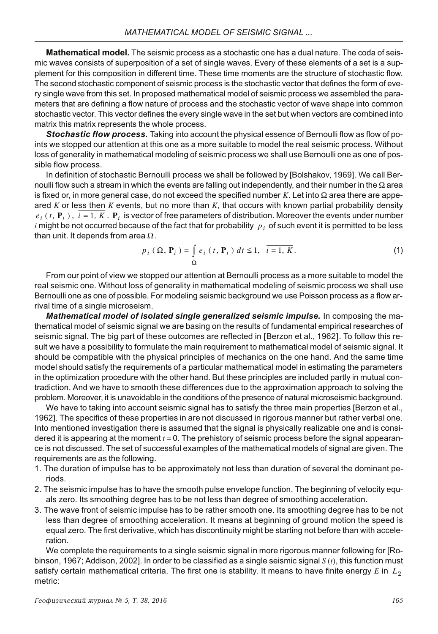**Mathematical model.** The seismic process as a stochastic one has a dual nature. The coda of seismic waves consists of superposition of a set of single waves. Every of these elements of a set is a supplement for this composition in different time. These time moments are the structure of stochastic flow. The second stochastic component of seismic process is the stochastic vector that defines the form of every single wave from this set. In proposed mathematical model of seismic process we assembled the parameters that are defining a flow nature of process and the stochastic vector of wave shape into common stochastic vector. This vector defines the every single wave in the set but when vectors are combined into matrix this matrix represents the whole process.

Stochastic flow process. Taking into account the physical essence of Bernoulli flow as flow of points we stopped our attention at this one as a more suitable to model the real seismic process. Without loss of generality in mathematical modeling of seismic process we shall use Bernoulli one as one of possible flow process.

In definition of stochastic Bernoulli process we shall be followed by [Bolshakov, 1969]. We call Bernoulli flow such a stream in which the events are falling out independently, and their number in the  $\Omega$  area is fixed or, in more general case, do not exceed the specified number  $K$ . Let into  $\Omega$  area there are appeared  $K$  or less then  $K$  events, but no more than  $K$ , that occurs with known partial probability density  $e_i$  (t,  $P_i$ ),  $i = 1, K$ .  $P_i$  is vector of free parameters of distribution. Moreover the events under number i might be not occurred because of the fact that for probability  $p_i$  of such event it is permitted to be less than unit. It depends from area  $\Omega$ .

$$
p_i\left(\Omega,\mathbf{P}_i\right) = \int\limits_{\Omega} e_i\left(t,\mathbf{P}_i\right) dt \leq 1, \quad i = 1, K. \tag{1}
$$

From our point of view we stopped our attention at Bernoulli process as a more suitable to model the real seismic one. Without loss of generality in mathematical modeling of seismic process we shall use Bernoulli one as one of possible. For modeling seismic background we use Poisson process as a flow arrival time of a single microseism.

Mathematical model of isolated single generalized seismic impulse. In composing the mathematical model of seismic signal we are basing on the results of fundamental empirical researches of seismic signal. The big part of these outcomes are reflected in [Berzon et al., 1962]. To follow this result we have a possibility to formulate the main requirement to mathematical model of seismic signal. It should be compatible with the physical principles of mechanics on the one hand. And the same time model should satisfy the requirements of a particular mathematical model in estimating the parameters in the optimization procedure with the other hand. But these principles are included partly in mutual contradiction. And we have to smooth these differences due to the approximation approach to solving the problem. Moreover, it is unavoidable in the conditions of the presence of natural microseismic background.

We have to taking into account seismic signal has to satisfy the three main properties [Berzon et al., 1962]. The specifics of these properties in are not discussed in rigorous manner but rather verbal one. Into mentioned investigation there is assumed that the signal is physically realizable one and is considered it is appearing at the moment  $t = 0$ . The prehistory of seismic process before the signal appearance is not discussed. The set of successful examples of the mathematical models of signal are given. The requirements are as the following.

- 1. The duration of impulse has to be approximately not less than duration of several the dominant periods.
- 2. The seismic impulse has to have the smooth pulse envelope function. The beginning of velocity equals zero. Its smoothing degree has to be not less than degree of smoothing acceleration.
- 3. The wave front of seismic impulse has to be rather smooth one. Its smoothing degree has to be not less than degree of smoothing acceleration. It means at beginning of ground motion the speed is equal zero. The first derivative, which has discontinuity might be starting not before than with acceleration.

We complete the requirements to a single seismic signal in more rigorous manner following for [Robinson, 1967; Addison, 2002]. In order to be classified as a single seismic signal  $S(t)$ , this function must satisfy certain mathematical criteria. The first one is stability. It means to have finite energy  $E$  in  $L_2$ metric: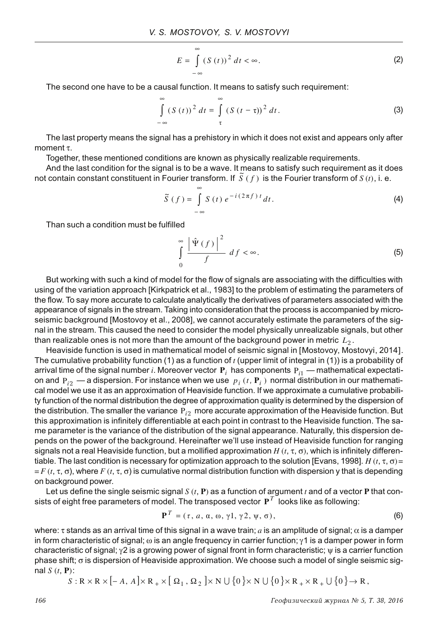$$
E = \int_{-\infty}^{\infty} (S(t))^2 dt < \infty.
$$
 (2)

The second one have to be a causal function. It means to satisfy such requirement:

$$
\int_{-\infty}^{\infty} (S(t))^2 dt = \int_{\tau}^{\infty} (S(t-\tau))^2 dt.
$$
 (3)

The last property means the signal has a prehistory in which it does not exist and appears only after moment  $\tau$ .

Together, these mentioned conditions are known as physically realizable requirements.

And the last condition for the signal is to be a wave. It means to satisfy such requirement as it does not contain constant constituent in Fourier transform. If  $S(f)$  is the Fourier transform of  $S(t)$ , i. e.

$$
\widetilde{S}(f) = \int_{-\infty}^{\infty} S(t) e^{-i(2\pi f)t} dt.
$$
 (4)

Than such a condition must be fulfilled

$$
\int_{0}^{\infty} \frac{|\hat{\Psi}(f)|^{2}}{f} df < \infty. \tag{5}
$$

But working with such a kind of model for the flow of signals are associating with the difficulties with using of the variation approach [Kirkpatrick et al., 1983] to the problem of estimating the parameters of the flow. To say more accurate to calculate analytically the derivatives of parameters associated with the appearance of signals in the stream. Taking into consideration that the process is accompanied by microseismic background [Mostovoy et al., 2008], we cannot accurately estimate the parameters of the signal in the stream. This caused the need to consider the model physically unrealizable signals, but other than realizable ones is not more than the amount of the background power in metric  $L_2$ .

Heaviside function is used in mathematical model of seismic signal in [Mostovoy, Mostovyi, 2014]. The cumulative probability function (1) as a function of  $t$  (upper limit of integral in (1)) is a probability of arrival time of the signal number i. Moreover vector  $P_i$  has components  $P_{i1}$  — mathematical expectation and  $P_{i2}$  – a dispersion. For instance when we use  $p_i(t, \mathbf{P}_i)$  normal distribution in our mathematical model we use it as an approximation of Heaviside function. If we approximate a cumulative probability function of the normal distribution the degree of approximation quality is determined by the dispersion of the distribution. The smaller the variance  $P_{i2}$  more accurate approximation of the Heaviside function. But this approximation is infinitely differentiable at each point in contrast to the Heaviside function. The same parameter is the variance of the distribution of the signal appearance. Naturally, this dispersion depends on the power of the background. Hereinafter we'll use instead of Heaviside function for ranging signals not a real Heaviside function, but a mollified approximation H  $(t, \tau, \sigma)$ , which is infinitely differentiable. The last condition is necessary for optimization approach to the solution [Evans, 1998]. H  $(t, \tau, \sigma)$  =  $=F(t, \tau, \sigma)$ , where  $F(t, \tau, \sigma)$  is cumulative normal distribution function with dispersion y that is depending on background power.

Let us define the single seismic signal  $S(t, P)$  as a function of argument t and of a vector P that consists of eight free parameters of model. The transposed vector  $P<sup>T</sup>$  looks like as following:

$$
\mathbf{P}^T = (\tau, a, \alpha, \omega, \gamma \mathbf{1}, \gamma \mathbf{2}, \psi, \sigma), \tag{6}
$$

where:  $\tau$  stands as an arrival time of this signal in a wave train; a is an amplitude of signal;  $\alpha$  is a damper in form characteristic of signal;  $\omega$  is an angle frequency in carrier function;  $\gamma$ 1 is a damper power in form characteristic of signal;  $\gamma$ 2 is a growing power of signal front in form characteristic;  $\psi$  is a carrier function phase shift;  $\sigma$  is dispersion of Heaviside approximation. We choose such a model of single seismic signal  $S(t, P)$ :

$$
S: \mathbb{R} \times \mathbb{R} \times [-A, A] \times \mathbb{R}_+ \times [\Omega_1, \Omega_2] \times \mathbb{N} \cup \{0\} \times \mathbb{N} \cup \{0\} \times \mathbb{R}_+ \times \mathbb{R}_+ \cup \{0\} \to \mathbb{R},
$$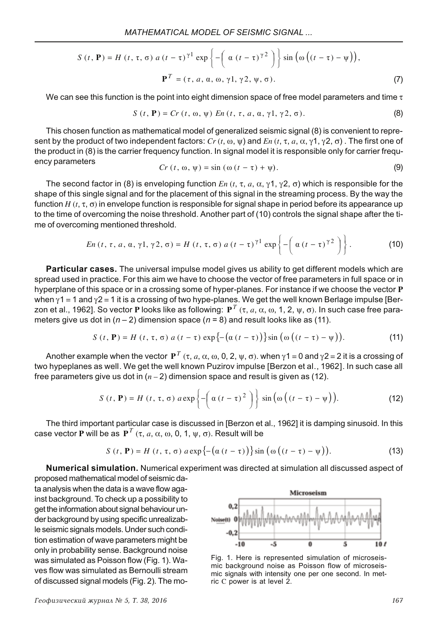$$
S(t, \mathbf{P}) = H(t, \tau, \sigma) a (t - \tau)^{\gamma 1} \exp \left\{-\left(\alpha (t - \tau)^{\gamma 2}\right)\right\} \sin \left(\omega \left((t - \tau) - \psi\right)\right),
$$

$$
\mathbf{P}^T = (\tau, a, \alpha, \omega, \gamma 1, \gamma 2, \psi, \sigma).
$$
(7)

We can see this function is the point into eight dimension space of free model parameters and time  $\tau$ 

$$
S(t, \mathbf{P}) = Cr(t, \omega, \psi) En(t, \tau, a, \alpha, \gamma 1, \gamma 2, \sigma).
$$
 (8)

This chosen function as mathematical model of generalized seismic signal (8) is convenient to represent by the product of two independent factors:  $Cr(t, \omega, \psi)$  and  $En(t, \tau, a, \alpha, \gamma, \gamma, \gamma, \sigma)$ . The first one of the product in (8) is the carrier frequency function. In signal model it is responsible only for carrier frequency parameters

$$
Cr(t, \omega, \psi) = \sin(\omega(t - \tau) + \psi). \tag{9}
$$

The second factor in (8) is enveloping function  $En(t, \tau, a, \alpha, \gamma, 1, \gamma, 2, \sigma)$  which is responsible for the shape of this single signal and for the placement of this signal in the streaming process. By the way the function H  $(t, \tau, \sigma)$  in envelope function is responsible for signal shape in period before its appearance up to the time of overcoming the noise threshold. Another part of (10) controls the signal shape after the time of overcoming mentioned threshold.

$$
En(t, \tau, a, \alpha, \gamma 1, \gamma 2, \sigma) = H(t, \tau, \sigma) a (t - \tau)^{\gamma 1} \exp \left\{-\left(\alpha (t - \tau)^{\gamma 2}\right)\right\}.
$$
 (10)

Particular cases. The universal impulse model gives us ability to get different models which are spread used in practice. For this aim we have to choose the vector of free parameters in full space or in hyperplane of this space or in a crossing some of hyper-planes. For instance if we choose the vector P when  $\gamma$ 1 = 1 and  $\gamma$ 2 = 1 it is a crossing of two hype-planes. We get the well known Berlage impulse [Berzon et al., 1962]. So vector P looks like as following:  $P^T$  ( $\tau$ ,  $a$ ,  $\alpha$ ,  $\omega$ , 1, 2,  $\psi$ ,  $\sigma$ ). In such case free parameters give us dot in  $(n-2)$  dimension space  $(n = 8)$  and result looks like as (11).

$$
S(t, \mathbf{P}) = H(t, \tau, \sigma) a(t - \tau) \exp\left\{-\left(\alpha(t - \tau)\right)\right\} \sin\left(\omega\left((t - \tau) - \psi\right)\right). \tag{11}
$$

Another example when the vector  $P^T$  ( $\tau$ ,  $a$ ,  $\alpha$ ,  $\omega$ , 0, 2,  $\psi$ ,  $\sigma$ ). when  $\gamma$ 1 = 0 and  $\gamma$ 2 = 2 it is a crossing of two hypeplanes as well. We get the well known Puzirov impulse [Berzon et al., 1962]. In such case all free parameters give us dot in  $(n-2)$  dimension space and result is given as (12).

$$
S(t, \mathbf{P}) = H(t, \tau, \sigma) a \exp\left\{-\left(\alpha(t-\tau)^2\right)\right\} \sin\left(\omega\left((t-\tau) - \psi\right)\right).
$$
 (12)

The third important particular case is discussed in [Berzon et al., 1962] it is damping sinusoid. In this case vector P will be as  $P^T$  ( $\tau$ ,  $a$ ,  $\alpha$ ,  $\omega$ , 0, 1,  $\psi$ ,  $\sigma$ ). Result will be

$$
S(t, \mathbf{P}) = H(t, \tau, \sigma) a \exp\left\{-\left(\alpha(t-\tau)\right)\right\} \sin\left(\omega\left((t-\tau) - \psi\right)\right). \tag{13}
$$

Numerical simulation. Numerical experiment was directed at simulation all discussed aspect of proposed mathematical model of seismic da-

ta analysis when the data is a wave flow against background. To check up a possibility to get the information about signal behaviour under background by using specific unrealizable seismic signals models. Under such condition estimation of wave parameters might be only in probability sense. Background noise was simulated as Poisson flow (Fig. 1). Waves flow was simulated as Bernoulli stream of discussed signal models (Fig. 2). The mo-



Fig. 1. Here is represented simulation of microseismic background noise as Poisson flow of microseismic signals with intensity one per one second. In metric C power is at level 2.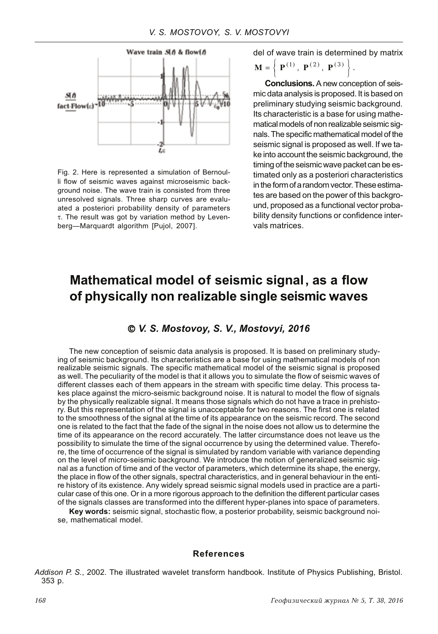

Fig. 2. Here is represented a simulation of Bernoulli flow of seismic waves against microseismic background noise. The wave train is consisted from three unresolved signals. Three sharp curves are evaluated a posteriori probability density of parameters τ. The result was got by variation method by Levenberg-Marquardt algorithm [Pujol, 2007].

del of wave train is determined by matrix

$$
\mathbf{M} = \left\{ \ \mathbf{P}^{(1)}, \ \mathbf{P}^{(2)}, \ \mathbf{P}^{(3)} \ \right\}
$$

**Conclusions.** A new conception of seismic data analysis is proposed. It is based on preliminary studying seismic background. Its characteristic is a base for using mathematical models of non realizable seismic signals. The specific mathematical model of the seismic signal is proposed as well. If we take into account the seismic background, the timing of the seismic wave packet can be estimated only as a posteriori characteristics in the form of a random vector. These estimates are based on the power of this background, proposed as a functional vector probability density functions or confidence intervals matrices.

## Mathematical model of seismic signal, as a flow of physically non realizable single seismic waves

#### © V. S. Mostovoy, S. V., Mostovyi, 2016

The new conception of seismic data analysis is proposed. It is based on preliminary studying of seismic background. Its characteristics are a base for using mathematical models of non realizable seismic signals. The specific mathematical model of the seismic signal is proposed as well. The peculiarity of the model is that it allows you to simulate the flow of seismic waves of different classes each of them appears in the stream with specific time delay. This process takes place against the micro-seismic background noise. It is natural to model the flow of signals by the physically realizable signal. It means those signals which do not have a trace in prehistory. But this representation of the signal is unacceptable for two reasons. The first one is related to the smoothness of the signal at the time of its appearance on the seismic record. The second one is related to the fact that the fade of the signal in the noise does not allow us to determine the time of its appearance on the record accurately. The latter circumstance does not leave us the possibility to simulate the time of the signal occurrence by using the determined value. Therefore, the time of occurrence of the signal is simulated by random variable with variance depending on the level of micro-seismic background. We introduce the notion of generalized seismic signal as a function of time and of the vector of parameters, which determine its shape, the energy, the place in flow of the other signals, spectral characteristics, and in general behaviour in the entire history of its existence. Any widely spread seismic signal models used in practice are a particular case of this one. Or in a more rigorous approach to the definition the different particular cases of the signals classes are transformed into the different hyper-planes into space of parameters.

Key words: seismic signal, stochastic flow, a posterior probability, seismic background noise, mathematical model.

#### **References**

Addison P. S., 2002. The illustrated wavelet transform handbook. Institute of Physics Publishing, Bristol. 353 p.